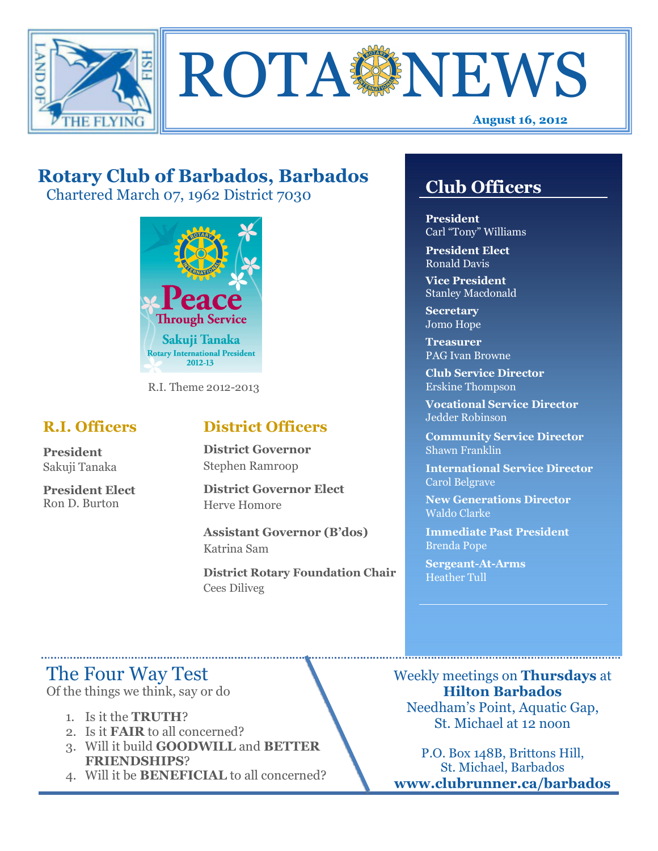



## **Rotary Club of Barbados, Barbados**

Chartered March 07, 1962 District 7030



R.I. Theme 2012-2013

### **R.I. Officers**

**President**  Sakuji Tanaka

**President Elect**  Ron D. Burton

### **District Officers**

**District Governor**  Stephen Ramroop

**District Governor Elect**  Herve Homore

**Assistant Governor (B'dos)**  Katrina Sam

**District Rotary Foundation Chair**  Cees Diliveg

### **Club Officers**

**Club Officers**

**President**  Carl "Tony" Williams

**President Elect**  Ronald Davis

**Vice President**  Stanley Macdonald

**Secretary**  Jomo Hope

**Treasurer**  PAG Ivan Browne

**Club Service Director**  Erskine Thompson

**Vocational Service Director**  Jedder Robinson

**Community Service Director**  Shawn Franklin

**International Service Director**  Carol Belgrave

**New Generations Director**  Waldo Clarke

**Immediate Past President**  Brenda Pope

**Sergeant-At-Arms**  Heather Tull

### The Four Way Test

Of the things we think, say or do

- 1. Is it the **TRUTH**?
- 2. Is it **FAIR** to all concerned?
- 3. Will it build **GOODWILL** and **BETTER FRIENDSHIPS**?
- 4. Will it be **BENEFICIAL** to all concerned?

Weekly meetings on **Thursdays** at **Hilton Barbados**  Needham's Point, Aquatic Gap, St. Michael at 12 noon

P.O. Box 148B, Brittons Hill, St. Michael, Barbados **www.clubrunner.ca/barbados**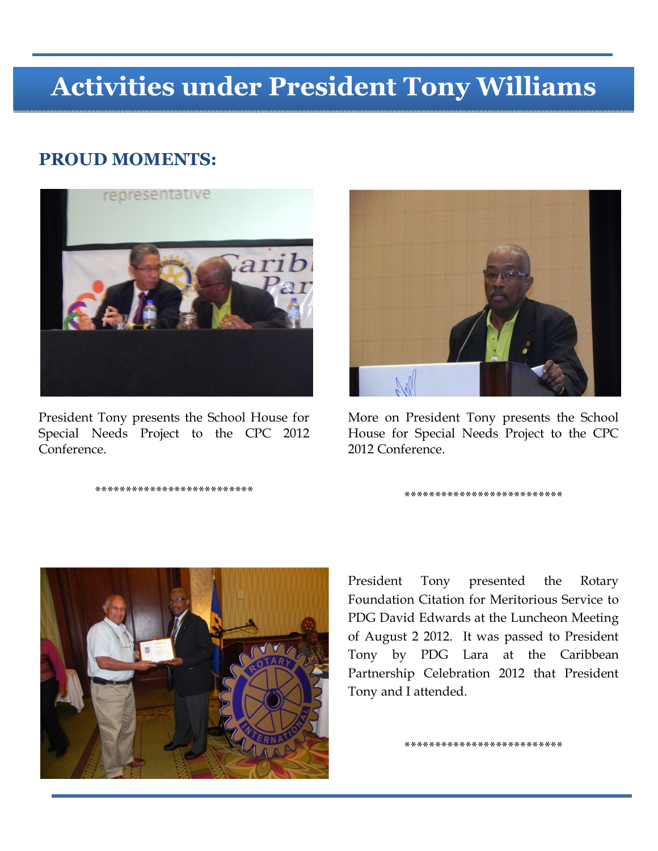# **Activities under President Tony Williams**

### **PROUD MOMENTS:**



President Tony presents the School House for Special Needs Project to the CPC 2012 Conference.

\*\*\*\*\*\*\*\*\*\*\*\*\*\*\*\*\*\*\*\*\*\*\*\*\*\*



More on President Tony presents the School House for Special Needs Project to the CPC 2012 Conference.

\*\*\*\*\*\*\*\*\*\*\*\*\*\*\*\*\*\*\*\*\*\*\*\*\*\*



President Tony presented the Rotary Foundation Citation for Meritorious Service to PDG David Edwards at the Luncheon Meeting of August 2 2012. It was passed to President Tony by PDG Lara at the Caribbean Partnership Celebration 2012 that President Tony and I attended.

\*\*\*\*\*\*\*\*\*\*\*\*\*\*\*\*\*\*\*\*\*\*\*\*\*\*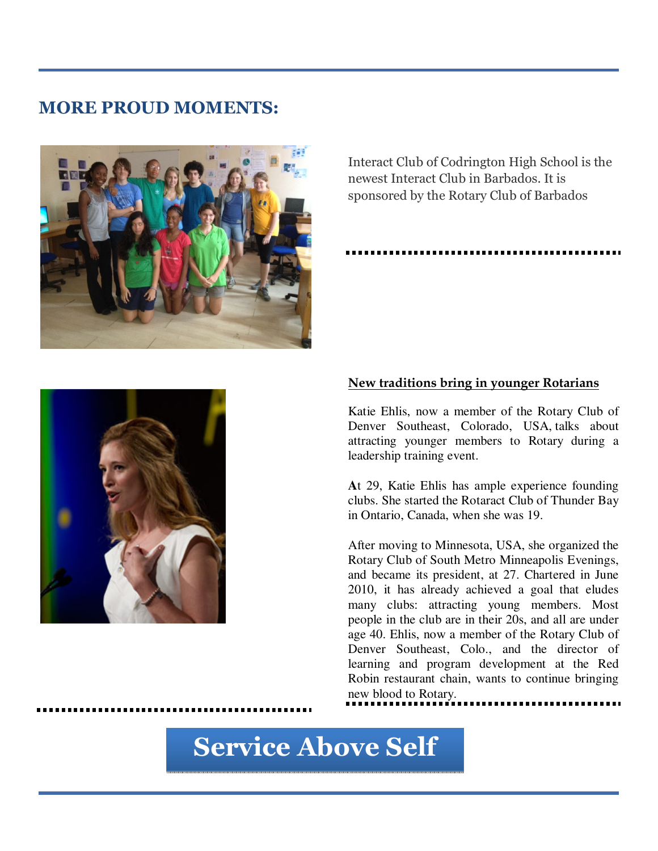### **MORE PROUD MOMENTS:**



Interact Club of Codrington High School is the newest Interact Club in Barbados. It is sponsored by the Rotary Club of Barbados

#### **New traditions bring in younger Rotarians**

Katie Ehlis, now a member of the Rotary Club of Denver Southeast, Colorado, USA, talks about attracting younger members to Rotary during a leadership training event.

**A**t 29, Katie Ehlis has ample experience founding clubs. She started the Rotaract Club of Thunder Bay in Ontario, Canada, when she was 19.

After moving to Minnesota, USA, she organized the Rotary Club of South Metro Minneapolis Evenings, and became its president, at 27. Chartered in June 2010, it has already achieved a goal that eludes many clubs: attracting young members. Most people in the club are in their 20s, and all are under age 40. Ehlis, now a member of the Rotary Club of Denver Southeast, Colo., and the director of learning and program development at the Red Robin restaurant chain, wants to continue bringing new blood to Rotary.

**Service Above Self**